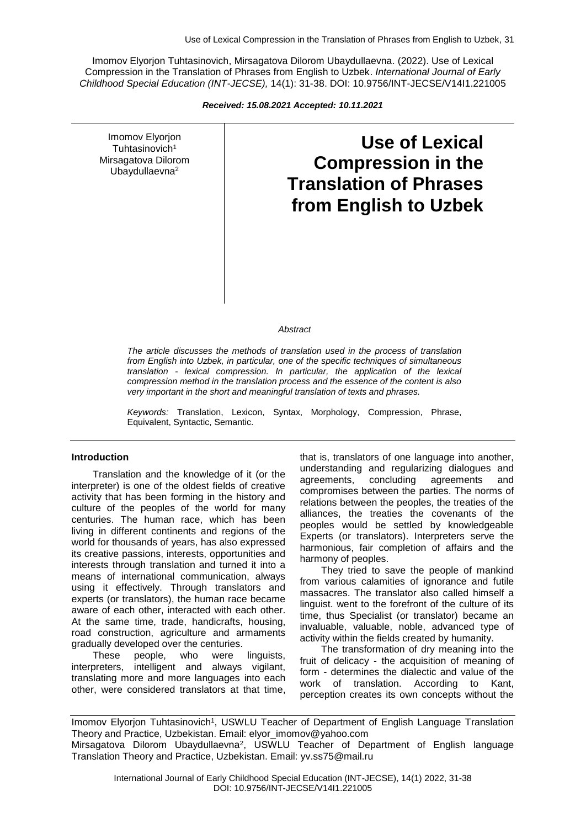Imomov Elyorjon Tuhtasinovich, Mirsagatova Dilorom Ubaydullaevna. (2022). Use of Lexical Compression in the Translation of Phrases from English to Uzbek. *International Journal of Early Childhood Special Education (INT-JECSE),* 14(1): 31-38. DOI: 10.9756/INT-JECSE/V14I1.221005

*Received: 15.08.2021 Accepted: 10.11.2021*

Imomov Elyorjon Tuhtasinovich<sup>1</sup> Mirsagatova Dilorom Ubaydullaevna<sup>2</sup>

# **Use of Lexical Compression in the Translation of Phrases from English to Uzbek**

#### *Abstract*

*The article discusses the methods of translation used in the process of translation from English into Uzbek, in particular, one of the specific techniques of simultaneous translation - lexical compression. In particular, the application of the lexical compression method in the translation process and the essence of the content is also very important in the short and meaningful translation of texts and phrases.*

*Keywords:* Translation, Lexicon, Syntax, Morphology, Compression, Phrase, Equivalent, Syntactic, Semantic.

#### **Introduction**

Translation and the knowledge of it (or the interpreter) is one of the oldest fields of creative activity that has been forming in the history and culture of the peoples of the world for many centuries. The human race, which has been living in different continents and regions of the world for thousands of years, has also expressed its creative passions, interests, opportunities and interests through translation and turned it into a means of international communication, always using it effectively. Through translators and experts (or translators), the human race became aware of each other, interacted with each other. At the same time, trade, handicrafts, housing, road construction, agriculture and armaments gradually developed over the centuries.

These people, who were linguists, interpreters, intelligent and always vigilant, translating more and more languages into each other, were considered translators at that time,

that is, translators of one language into another, understanding and regularizing dialogues and agreements, concluding agreements and compromises between the parties. The norms of relations between the peoples, the treaties of the alliances, the treaties the covenants of the peoples would be settled by knowledgeable Experts (or translators). Interpreters serve the harmonious, fair completion of affairs and the harmony of peoples.

They tried to save the people of mankind from various calamities of ignorance and futile massacres. The translator also called himself a linguist. went to the forefront of the culture of its time, thus Specialist (or translator) became an invaluable, valuable, noble, advanced type of activity within the fields created by humanity.

The transformation of dry meaning into the fruit of delicacy - the acquisition of meaning of form - determines the dialectic and value of the work of translation. According to Kant, perception creates its own concepts without the

Imomov Elyorjon Tuhtasinovich<sup>1</sup>, USWLU Teacher of Department of English Language Translation Theory and Practice, Uzbekistan. Email: elyor\_imomov@yahoo.com Mirsagatova Dilorom Ubaydullaevna<sup>2</sup>, USWLU Teacher of Department of English language Translation Theory and Practice, Uzbekistan. Email: yv.ss75@mail.ru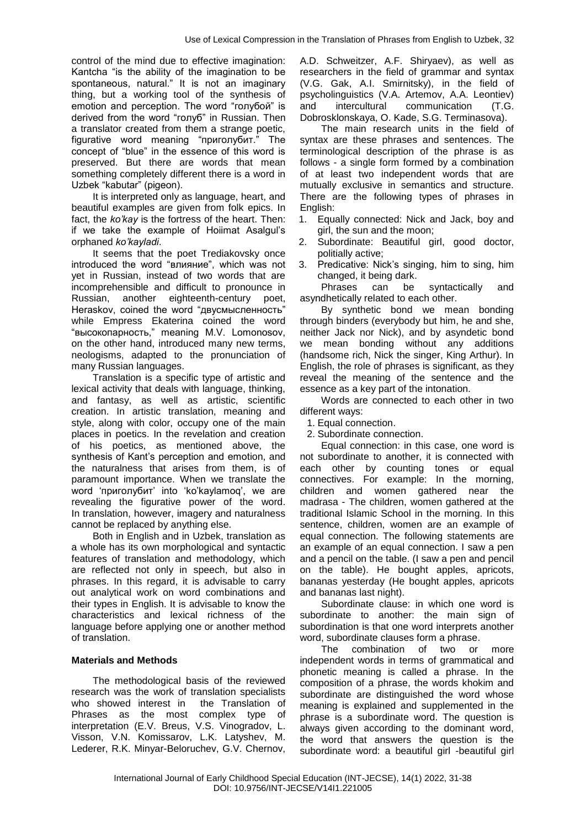control of the mind due to effective imagination: Kantcha "is the ability of the imagination to be spontaneous, natural." It is not an imaginary thing, but a working tool of the synthesis of emotion and perception. The word "голубой" is derived from the word "голуб" in Russian. Then a translator created from them a strange poetic, figurative word meaning "приголубит." The concept of "blue" in the essence of this word is preserved. But there are words that mean something completely different there is a word in Uzbek "kabutar" (pigeon).

It is interpreted only as language, heart, and beautiful examples are given from folk epics. In fact, the *ko'kay* is the fortress of the heart. Then: if we take the example of Hoiimat Asalgul's orphaned *ko'kayladi*.

It seems that the poet Trediakovsky once introduced the word "влияние", which was not yet in Russian, instead of two words that are incomprehensible and difficult to pronounce in Russian, another eighteenth-century poet, Heraskov, coined the word "двусмысленность" while Empress Ekaterina coined the word "высокопарность," meaning M.V. Lomonosov, on the other hand, introduced many new terms, neologisms, adapted to the pronunciation of many Russian languages.

Translation is a specific type of artistic and lexical activity that deals with language, thinking, and fantasy, as well as artistic, scientific creation. In artistic translation, meaning and style, along with color, occupy one of the main places in poetics. In the revelation and creation of his poetics, as mentioned above, the synthesis of Kant's perception and emotion, and the naturalness that arises from them, is of paramount importance. When we translate the word 'приголубит' into 'ko'kaylamoq', we are revealing the figurative power of the word. In translation, however, imagery and naturalness cannot be replaced by anything else.

Both in English and in Uzbek, translation as a whole has its own morphological and syntactic features of translation and methodology, which are reflected not only in speech, but also in phrases. In this regard, it is advisable to carry out analytical work on word combinations and their types in English. It is advisable to know the characteristics and lexical richness of the language before applying one or another method of translation.

#### **Materials and Methods**

The methodological basis of the reviewed research was the work of translation specialists who showed interest in the Translation of Phrases as the most complex type of interpretation (E.V. Breus, V.S. Vinogradov, L. Visson, V.N. Komissarov, L.K. Latyshev, M. Lederer, R.K. Minyar-Beloruchev, G.V. Chernov, A.D. Schweitzer, A.F. Shiryaev), as well as researchers in the field of grammar and syntax (V.G. Gak, A.I. Smirnitsky), in the field of psycholinguistics (V.A. Artemov, A.A. Leontiev) and intercultural communication (T.G. Dobrosklonskaya, O. Kade, S.G. Terminasova).

The main research units in the field of syntax are these phrases and sentences. The terminological description of the phrase is as follows - a single form formed by a combination of at least two independent words that are mutually exclusive in semantics and structure. There are the following types of phrases in English:

- 1. Equally connected: Nick and Jack, boy and girl, the sun and the moon;
- 2. Subordinate: Beautiful girl, good doctor, politially active;
- 3. Predicative: Nick's singing, him to sing, him changed, it being dark.

Phrases can be syntactically and asyndhetically related to each other.

By synthetic bond we mean bonding through binders (everybody but him, he and she, neither Jack nor Nick), and by asyndetic bond we mean bonding without any additions (handsome rich, Nick the singer, King Arthur). In English, the role of phrases is significant, as they reveal the meaning of the sentence and the essence as a key part of the intonation.

Words are connected to each other in two different ways:

1. Equal connection.

2. Subordinate connection.

Equal connection: in this case, one word is not subordinate to another, it is connected with each other by counting tones or equal connectives. For example: In the morning, children and women gathered near the madrasa - The children, women gathered at the traditional Islamic School in the morning. In this sentence, children, women are an example of equal connection. The following statements are an example of an equal connection. I saw a pen and a pencil on the table. (I saw a pen and pencil on the table). He bought apples, apricots, bananas yesterday (He bought apples, apricots and bananas last night).

Subordinate clause: in which one word is subordinate to another: the main sign of subordination is that one word interprets another word, subordinate clauses form a phrase.

The combination of two or more independent words in terms of grammatical and phonetic meaning is called a phrase. In the composition of a phrase, the words khokim and subordinate are distinguished the word whose meaning is explained and supplemented in the phrase is a subordinate word. The question is always given according to the dominant word, the word that answers the question is the subordinate word: a beautiful girl -beautiful girl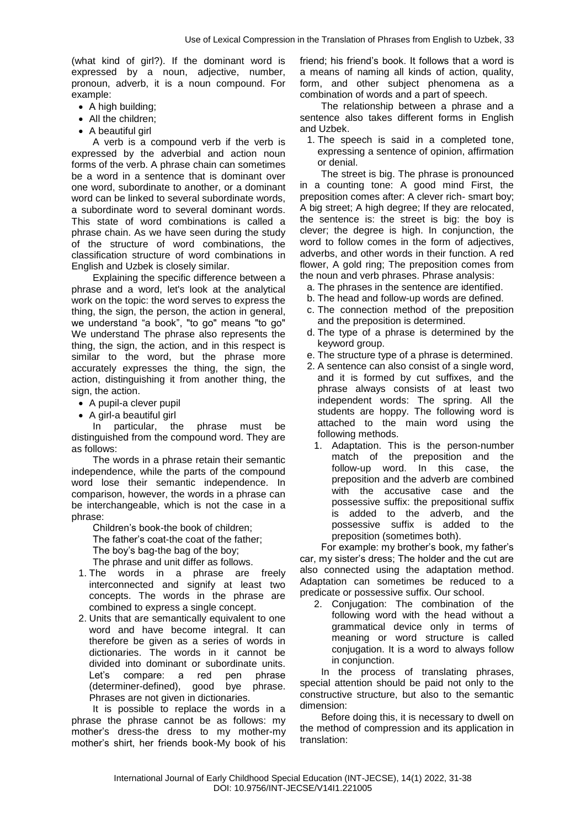(what kind of girl?). If the dominant word is expressed by a noun, adjective, number, pronoun, adverb, it is a noun compound. For example:

- A high building;
- All the children:
- A beautiful girl

A verb is a compound verb if the verb is expressed by the adverbial and action noun forms of the verb. A phrase chain can sometimes be a word in a sentence that is dominant over one word, subordinate to another, or a dominant word can be linked to several subordinate words, a subordinate word to several dominant words. This state of word combinations is called a phrase chain. As we have seen during the study of the structure of word combinations, the classification structure of word combinations in English and Uzbek is closely similar.

Explaining the specific difference between a phrase and a word, let's look at the analytical work on the topic: the word serves to express the thing, the sign, the person, the action in general, we understand "a book", "to go" means "to go" We understand The phrase also represents the thing, the sign, the action, and in this respect is similar to the word, but the phrase more accurately expresses the thing, the sign, the action, distinguishing it from another thing, the sign, the action.

- A pupil-a clever pupil
- A girl-a beautiful girl

In particular, the phrase must be distinguished from the compound word. They are as follows:

The words in a phrase retain their semantic independence, while the parts of the compound word lose their semantic independence. In comparison, however, the words in a phrase can be interchangeable, which is not the case in a phrase:

Children's book-the book of children; The father's coat-the coat of the father; The boy's bag-the bag of the boy;

The phrase and unit differ as follows.

- 1. The words in a phrase are freely interconnected and signify at least two concepts. The words in the phrase are combined to express a single concept.
- 2. Units that are semantically equivalent to one word and have become integral. It can therefore be given as a series of words in dictionaries. The words in it cannot be divided into dominant or subordinate units. Let's compare: a red pen phrase (determiner-defined), good bye phrase. Phrases are not given in dictionaries.

It is possible to replace the words in a phrase the phrase cannot be as follows: my mother's dress-the dress to my mother-my mother's shirt, her friends book-My book of his

friend; his friend's book. It follows that a word is a means of naming all kinds of action, quality, form, and other subject phenomena as a combination of words and a part of speech.

The relationship between a phrase and a sentence also takes different forms in English and Uzbek.

1. The speech is said in a completed tone, expressing a sentence of opinion, affirmation or denial.

The street is big. The phrase is pronounced in a counting tone: A good mind First, the preposition comes after: A clever rich- smart boy; A big street; A high degree; If they are relocated, the sentence is: the street is big: the boy is clever; the degree is high. In conjunction, the word to follow comes in the form of adjectives, adverbs, and other words in their function. A red flower, A gold ring; The preposition comes from the noun and verb phrases. Phrase analysis:

- a. The phrases in the sentence are identified.
- b. The head and follow-up words are defined.
- c. The connection method of the preposition and the preposition is determined.
- d. The type of a phrase is determined by the keyword group.
- e. The structure type of a phrase is determined.
- 2. A sentence can also consist of a single word, and it is formed by cut suffixes, and the phrase always consists of at least two independent words: The spring. All the students are hoppy. The following word is attached to the main word using the following methods.
	- 1. Adaptation. This is the person-number match of the preposition and the follow-up word. In this case, the preposition and the adverb are combined with the accusative case and the possessive suffix: the prepositional suffix is added to the adverb, and the possessive suffix is added to the preposition (sometimes both).

For example: my brother's book, my father's car, my sister's dress; The holder and the cut are also connected using the adaptation method. Adaptation can sometimes be reduced to a predicate or possessive suffix. Our school.

2. Conjugation: The combination of the following word with the head without a grammatical device only in terms of meaning or word structure is called conjugation. It is a word to always follow in conjunction.

In the process of translating phrases, special attention should be paid not only to the constructive structure, but also to the semantic dimension:

Before doing this, it is necessary to dwell on the method of compression and its application in translation: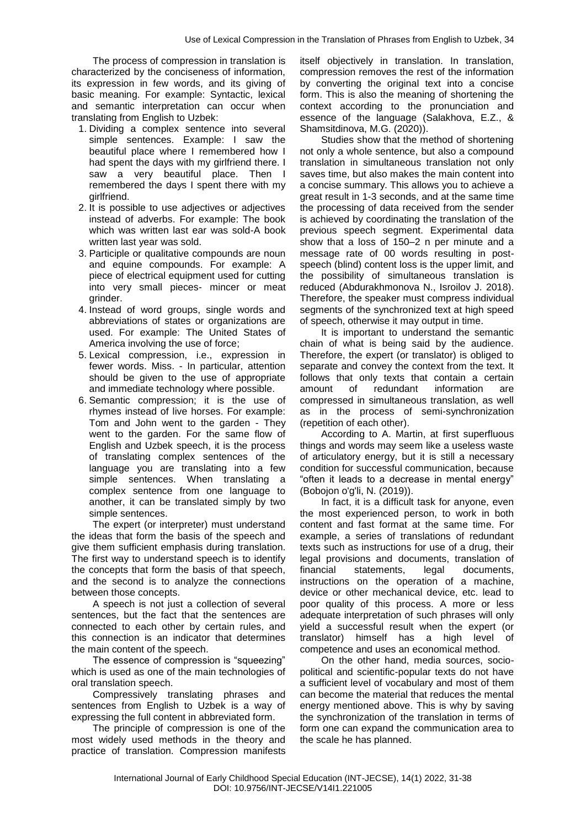The process of compression in translation is characterized by the conciseness of information, its expression in few words, and its giving of basic meaning. For example: Syntactic, lexical and semantic interpretation can occur when translating from English to Uzbek:

- 1. Dividing a complex sentence into several simple sentences. Example: I saw the beautiful place where I remembered how I had spent the days with my girlfriend there. I saw a very beautiful place. Then I remembered the days I spent there with my girlfriend.
- 2. It is possible to use adjectives or adjectives instead of adverbs. For example: The book which was written last ear was sold-A book written last year was sold.
- 3. Participle or qualitative compounds are noun and equine compounds. For example: A piece of electrical equipment used for cutting into very small pieces- mincer or meat grinder.
- 4. Instead of word groups, single words and abbreviations of states or organizations are used. For example: The United States of America involving the use of force;
- 5. Lexical compression, i.e., expression in fewer words. Miss. - In particular, attention should be given to the use of appropriate and immediate technology where possible.
- 6. Semantic compression; it is the use of rhymes instead of live horses. For example: Tom and John went to the garden - They went to the garden. For the same flow of English and Uzbek speech, it is the process of translating complex sentences of the language you are translating into a few simple sentences. When translating a complex sentence from one language to another, it can be translated simply by two simple sentences.

The expert (or interpreter) must understand the ideas that form the basis of the speech and give them sufficient emphasis during translation. The first way to understand speech is to identify the concepts that form the basis of that speech, and the second is to analyze the connections between those concepts.

A speech is not just a collection of several sentences, but the fact that the sentences are connected to each other by certain rules, and this connection is an indicator that determines the main content of the speech.

The essence of compression is "squeezing" which is used as one of the main technologies of oral translation speech.

Compressively translating phrases and sentences from English to Uzbek is a way of expressing the full content in abbreviated form.

The principle of compression is one of the most widely used methods in the theory and practice of translation. Compression manifests

itself objectively in translation. In translation, compression removes the rest of the information by converting the original text into a concise form. This is also the meaning of shortening the context according to the pronunciation and essence of the language (Salakhova, E.Z., & Shamsitdinova, M.G. (2020)).

Studies show that the method of shortening not only a whole sentence, but also a compound translation in simultaneous translation not only saves time, but also makes the main content into a concise summary. This allows you to achieve a great result in 1-3 seconds, and at the same time the processing of data received from the sender is achieved by coordinating the translation of the previous speech segment. Experimental data show that a loss of 150–2 n per minute and a message rate of 00 words resulting in postspeech (blind) content loss is the upper limit, and the possibility of simultaneous translation is reduced (Abdurakhmonova N., Isroilov J. 2018). Therefore, the speaker must compress individual segments of the synchronized text at high speed of speech, otherwise it may output in time.

It is important to understand the semantic chain of what is being said by the audience. Therefore, the expert (or translator) is obliged to separate and convey the context from the text. It follows that only texts that contain a certain amount of redundant information compressed in simultaneous translation, as well as in the process of semi-synchronization (repetition of each other).

According to A. Martin, at first superfluous things and words may seem like a useless waste of articulatory energy, but it is still a necessary condition for successful communication, because "often it leads to a decrease in mental energy" (Bobojon o'g'li, N. (2019)).

In fact, it is a difficult task for anyone, even the most experienced person, to work in both content and fast format at the same time. For example, a series of translations of redundant texts such as instructions for use of a drug, their legal provisions and documents, translation of financial statements, legal documents, instructions on the operation of a machine, device or other mechanical device, etc. lead to poor quality of this process. A more or less adequate interpretation of such phrases will only yield a successful result when the expert (or translator) himself has a high level of competence and uses an economical method.

On the other hand, media sources, sociopolitical and scientific-popular texts do not have a sufficient level of vocabulary and most of them can become the material that reduces the mental energy mentioned above. This is why by saving the synchronization of the translation in terms of form one can expand the communication area to the scale he has planned.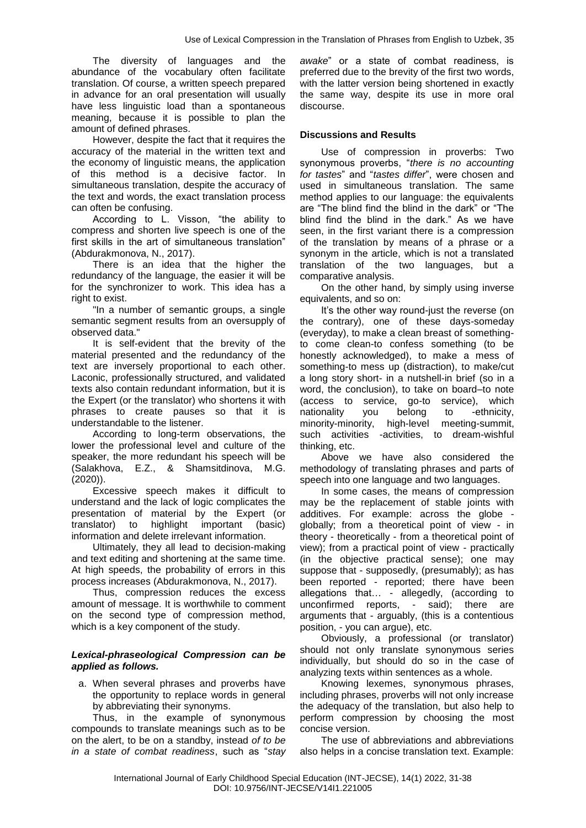The diversity of languages and the abundance of the vocabulary often facilitate translation. Of course, a written speech prepared in advance for an oral presentation will usually have less linguistic load than a spontaneous meaning, because it is possible to plan the amount of defined phrases.

However, despite the fact that it requires the accuracy of the material in the written text and the economy of linguistic means, the application of this method is a decisive factor. In simultaneous translation, despite the accuracy of the text and words, the exact translation process can often be confusing.

According to L. Visson, "the ability to compress and shorten live speech is one of the first skills in the art of simultaneous translation" (Abdurakmonova, N., 2017).

There is an idea that the higher the redundancy of the language, the easier it will be for the synchronizer to work. This idea has a right to exist.

"In a number of semantic groups, a single semantic segment results from an oversupply of observed data."

It is self-evident that the brevity of the material presented and the redundancy of the text are inversely proportional to each other. Laconic, professionally structured, and validated texts also contain redundant information, but it is the Expert (or the translator) who shortens it with phrases to create pauses so that it is understandable to the listener.

According to long-term observations, the lower the professional level and culture of the speaker, the more redundant his speech will be (Salakhova, E.Z., & Shamsitdinova, M.G. (2020)).

Excessive speech makes it difficult to understand and the lack of logic complicates the presentation of material by the Expert (or translator) to highlight important (basic) information and delete irrelevant information.

Ultimately, they all lead to decision-making and text editing and shortening at the same time. At high speeds, the probability of errors in this process increases (Abdurakmonova, N., 2017).

Thus, compression reduces the excess amount of message. It is worthwhile to comment on the second type of compression method, which is a key component of the study.

### *Lexical-phraseological Compression can be applied as follows.*

a. When several phrases and proverbs have the opportunity to replace words in general by abbreviating their synonyms.

Thus, in the example of synonymous compounds to translate meanings such as to be on the alert, to be on a standby, instead *of to be in a state of combat readiness*, such as "*stay*  *awake*" or a state of combat readiness, is preferred due to the brevity of the first two words, with the latter version being shortened in exactly the same way, despite its use in more oral discourse.

## **Discussions and Results**

Use of compression in proverbs: Two synonymous proverbs, "*there is no accounting for tastes*" and "*tastes differ*", were chosen and used in simultaneous translation. The same method applies to our language: the equivalents are "The blind find the blind in the dark" or "The blind find the blind in the dark." As we have seen, in the first variant there is a compression of the translation by means of a phrase or a synonym in the article, which is not a translated translation of the two languages, but a comparative analysis.

On the other hand, by simply using inverse equivalents, and so on:

It's the other way round-just the reverse (on the contrary), one of these days-someday (everyday), to make a clean breast of somethingto come clean-to confess something (to be honestly acknowledged), to make a mess of something-to mess up (distraction), to make/cut a long story short- in a nutshell-in brief (so in a word, the conclusion), to take on board–to note (access to service, go-to service), which nationality you belong to -ethnicity, minority-minority, high-level meeting-summit, such activities -activities, to dream-wishful thinking, etc.

Above we have also considered the methodology of translating phrases and parts of speech into one language and two languages.

In some cases, the means of compression may be the replacement of stable joints with additives. For example: across the globe globally; from a theoretical point of view - in theory - theoretically - from a theoretical point of view); from a practical point of view - practically (in the objective practical sense); one may suppose that - supposedly, (presumably); as has been reported - reported; there have been allegations that… - allegedly, (according to unconfirmed reports, - said); there are arguments that - arguably, (this is a contentious position, - you can argue), etc.

Obviously, a professional (or translator) should not only translate synonymous series individually, but should do so in the case of analyzing texts within sentences as a whole.

Knowing lexemes, synonymous phrases, including phrases, proverbs will not only increase the adequacy of the translation, but also help to perform compression by choosing the most concise version.

The use of abbreviations and abbreviations also helps in a concise translation text. Example: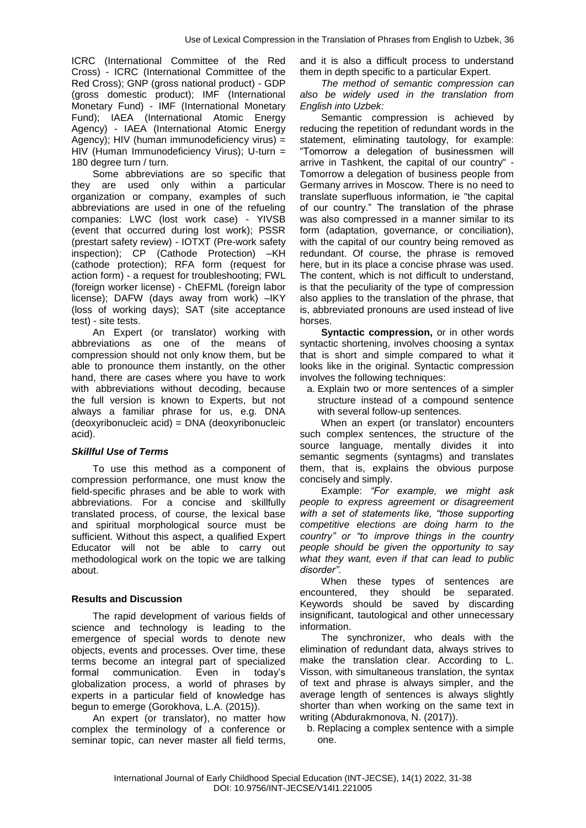ICRC (International Committee of the Red Cross) - ICRC (International Committee of the Red Cross); GNP (gross national product) - GDP (gross domestic product); IMF (International Monetary Fund) - IMF (International Monetary Fund); IAEA (International Atomic Energy Agency) - IAEA (International Atomic Energy Agency); HIV (human immunodeficiency virus) = HIV (Human Immunodeficiency Virus); U-turn = 180 degree turn / turn.

Some abbreviations are so specific that they are used only within a particular organization or company, examples of such abbreviations are used in one of the refueling companies: LWC (lost work case) - YIVSB (event that occurred during lost work); PSSR (prestart safety review) - IOTXT (Pre-work safety inspection); CP (Cathode Protection) –KH (cathode protection); RFA form (request for action form) - a request for troubleshooting; FWL (foreign worker license) - ChEFML (foreign labor license); DAFW (days away from work) –IKY (loss of working days); SAT (site acceptance test) - site tests.

An Expert (or translator) working with abbreviations as one of the means of compression should not only know them, but be able to pronounce them instantly, on the other hand, there are cases where you have to work with abbreviations without decoding, because the full version is known to Experts, but not always a familiar phrase for us, e.g. DNA (deoxyribonucleic acid) = DNA (deoxyribonucleic acid).

## *Skillful Use of Terms*

To use this method as a component of compression performance, one must know the field-specific phrases and be able to work with abbreviations. For a concise and skillfully translated process, of course, the lexical base and spiritual morphological source must be sufficient. Without this aspect, a qualified Expert Educator will not be able to carry out methodological work on the topic we are talking about.

## **Results and Discussion**

The rapid development of various fields of science and technology is leading to the emergence of special words to denote new objects, events and processes. Over time, these terms become an integral part of specialized formal communication. Even in today's globalization process, a world of phrases by experts in a particular field of knowledge has begun to emerge (Gorokhova, L.A. (2015)).

An expert (or translator), no matter how complex the terminology of a conference or seminar topic, can never master all field terms,

and it is also a difficult process to understand them in depth specific to a particular Expert.

*The method of semantic compression can also be widely used in the translation from English into Uzbek:*

Semantic compression is achieved by reducing the repetition of redundant words in the statement, eliminating tautology, for example: "Tomorrow a delegation of businessmen will arrive in Tashkent, the capital of our country" - Tomorrow a delegation of business people from Germany arrives in Moscow. There is no need to translate superfluous information, ie "the capital of our country." The translation of the phrase was also compressed in a manner similar to its form (adaptation, governance, or conciliation), with the capital of our country being removed as redundant. Of course, the phrase is removed here, but in its place a concise phrase was used. The content, which is not difficult to understand, is that the peculiarity of the type of compression also applies to the translation of the phrase, that is, abbreviated pronouns are used instead of live horses.

Syntactic compression, or in other words syntactic shortening, involves choosing a syntax that is short and simple compared to what it looks like in the original. Syntactic compression involves the following techniques:

a. Explain two or more sentences of a simpler structure instead of a compound sentence with several follow-up sentences.

When an expert (or translator) encounters such complex sentences, the structure of the source language, mentally divides it into semantic segments (syntagms) and translates them, that is, explains the obvious purpose concisely and simply.

Example: *"For example, we might ask people to express agreement or disagreement with a set of statements like, "those supporting competitive elections are doing harm to the country" or "to improve things in the country people should be given the opportunity to say what they want, even if that can lead to public disorder".*

When these types of sentences are encountered, they should be separated. Keywords should be saved by discarding insignificant, tautological and other unnecessary information.

The synchronizer, who deals with the elimination of redundant data, always strives to make the translation clear. According to L. Visson, with simultaneous translation, the syntax of text and phrase is always simpler, and the average length of sentences is always slightly shorter than when working on the same text in writing (Abdurakmonova, N. (2017)).

b. Replacing a complex sentence with a simple one.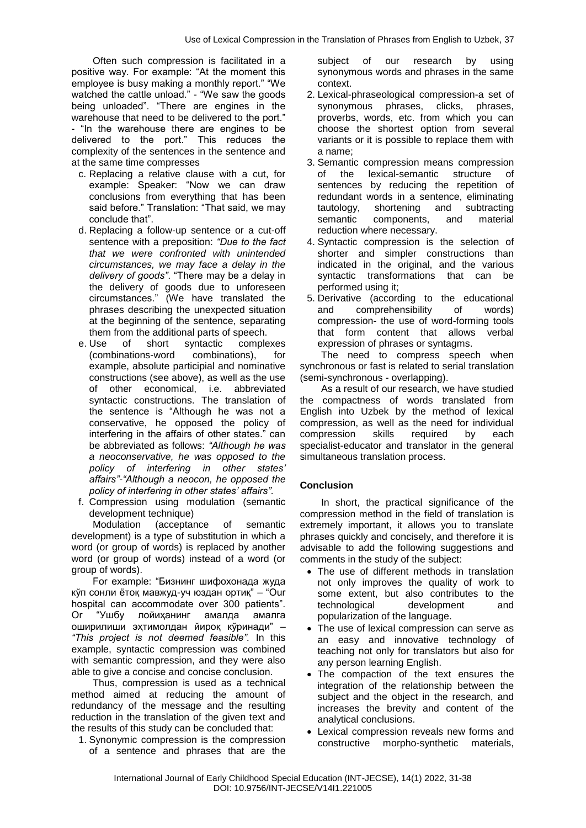Often such compression is facilitated in a positive way. For example: "At the moment this employee is busy making a monthly report." "We watched the cattle unload." - "We saw the goods being unloaded". "There are engines in the warehouse that need to be delivered to the port." - "In the warehouse there are engines to be delivered to the port." This reduces the complexity of the sentences in the sentence and at the same time compresses

- c. Replacing a relative clause with a cut, for example: Speaker: "Now we can draw conclusions from everything that has been said before." Translation: "That said, we may conclude that".
- d. Replacing a follow-up sentence or a cut-off sentence with a preposition: *"Due to the fact that we were confronted with unintended circumstances, we may face a delay in the delivery of goods"*. "There may be a delay in the delivery of goods due to unforeseen circumstances." (We have translated the phrases describing the unexpected situation at the beginning of the sentence, separating them from the additional parts of speech.
- e. Use of short syntactic complexes (combinations-word combinations), for example, absolute participial and nominative constructions (see above), as well as the use of other economical, i.e. abbreviated syntactic constructions. The translation of the sentence is "Although he was not a conservative, he opposed the policy of interfering in the affairs of other states." can be abbreviated as follows: *"Although he was a neoconservative, he was opposed to the policy of interfering in other states' affairs"-"Although a neocon, he opposed the policy of interfering in other states' affairs".*
- f. Compression using modulation (semantic development technique)

Modulation (acceptance of semantic development) is a type of substitution in which a word (or group of words) is replaced by another word (or group of words) instead of a word (or group of words).

For example: "Бизнинг шифохонада жуда кўп сонли ётоқ мавжуд-уч юздан ортиқ" – "Our hospital can accommodate over 300 patients". Or "Ушбу лойиҳанинг амалда амалга оширилиши эҳтимолдан йироқ кўринади" – *"This project is not deemed feasible".* In this example, syntactic compression was combined with semantic compression, and they were also able to give a concise and concise conclusion.

Thus, compression is used as a technical method aimed at reducing the amount of redundancy of the message and the resulting reduction in the translation of the given text and the results of this study can be concluded that:

1. Synonymic compression is the compression of a sentence and phrases that are the subject of our research by using synonymous words and phrases in the same context.

- 2. Lexical-phraseological compression-a set of synonymous phrases, clicks, phrases, proverbs, words, etc. from which you can choose the shortest option from several variants or it is possible to replace them with a name;
- 3. Semantic compression means compression of the lexical-semantic structure of sentences by reducing the repetition of redundant words in a sentence, eliminating tautology, shortening and subtracting<br>semantic components, and material semantic components, and material reduction where necessary.
- 4. Syntactic compression is the selection of shorter and simpler constructions than indicated in the original, and the various syntactic transformations that can be performed using it;
- 5. Derivative (according to the educational and comprehensibility of words) compression- the use of word-forming tools that form content that allows verbal expression of phrases or syntagms.

The need to compress speech when synchronous or fast is related to serial translation (semi-synchronous - overlapping).

As a result of our research, we have studied the compactness of words translated from English into Uzbek by the method of lexical compression, as well as the need for individual compression skills required by each specialist-educator and translator in the general simultaneous translation process.

# **Conclusion**

In short, the practical significance of the compression method in the field of translation is extremely important, it allows you to translate phrases quickly and concisely, and therefore it is advisable to add the following suggestions and comments in the study of the subject:

- The use of different methods in translation not only improves the quality of work to some extent, but also contributes to the technological development and popularization of the language.
- The use of lexical compression can serve as an easy and innovative technology of teaching not only for translators but also for any person learning English.
- The compaction of the text ensures the integration of the relationship between the subject and the object in the research, and increases the brevity and content of the analytical conclusions.
- Lexical compression reveals new forms and constructive morpho-synthetic materials,